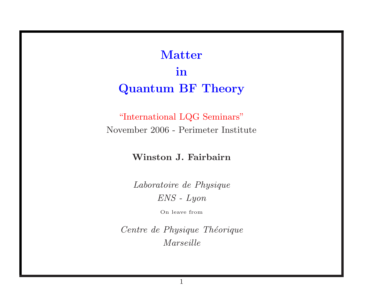# Matter in Quantum BF Theory

"International LQG Seminars" November 2006 - Perimeter Institute

### Winston J. Fairbairn

Laboratoire de Physique ENS - Lyon

On leave from

Centre de Physique Théorique Marseille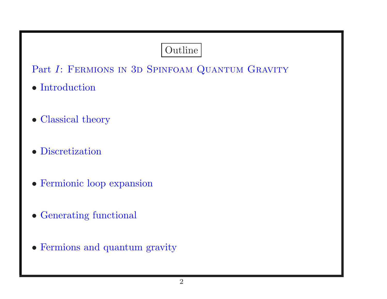## Outline

Part I: FERMIONS IN 3D SPINFOAM QUANTUM GRAVITY

- Introduction
- Classical theory
- Discretization
- Fermionic loop expansion
- Generating functional
- Fermions and quantum gravity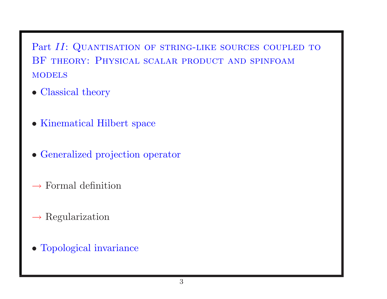Part II: QUANTISATION OF STRING-LIKE SOURCES COUPLED TO BF theory: Physical scalar product and spinfoam **MODELS** 

- Classical theory
- Kinematical Hilbert space
- Generalized projection operator
- $\rightarrow$  Formal definition
- $\rightarrow$  Regularization
- Topological invariance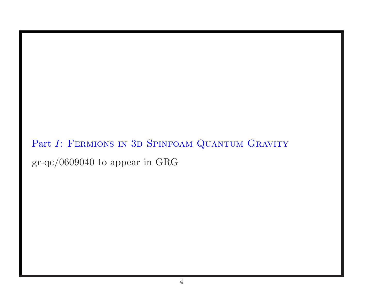Part I: FERMIONS IN 3D SPINFOAM QUANTUM GRAVITY gr-qc/0609040 to appear in GRG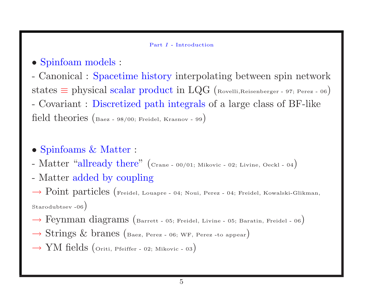#### Part I - Introduction

- Spinfoam models :
- Canonical : Spacetime history interpolating between spin network states  $\equiv$  physical scalar product in LQG (Rovelli, Reisenberger - 97; Perez - 06) - Covariant : Discretized path integrals of <sup>a</sup> large class of BF-like field theories (Baez - 98/00; Freidel, Krasnov - <sup>99</sup>)
- Spinfoams & Matter :
- Matter "allready there" (Crane 00/01; Mikovic 02; Livine, Oeckl 04)
- Matter added by coupling

 $\rightarrow$  Point particles (Freidel, Louapre - 04; Noui, Perez - 04; Freidel, Kowalski-Glikman, Starodubtsev<sub>-06</sub>)

- $\rightarrow$  Feynman diagrams (Barrett 05; Freidel, Livine 05; Baratin, Freidel 06)
- $\rightarrow$  Strings & branes (Baez, Perez 06; WF, Perez -to appear)
- $\rightarrow$  YM fields (Oriti, Pfeiffer 02; Mikovic 03)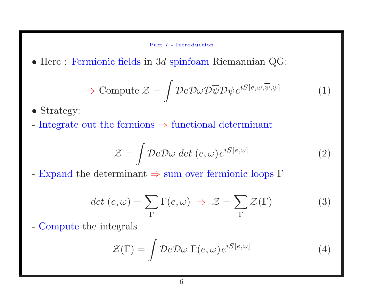Part I - Introduction

• Here : Fermionic fields in <sup>3</sup><sup>d</sup> spinfoam Riemannian QG:

$$
\Rightarrow \text{Compute } \mathcal{Z} = \int \mathcal{D}e \mathcal{D}\omega \mathcal{D}\overline{\psi} \mathcal{D}\psi e^{iS[e,\omega,\overline{\psi},\psi]} \tag{1}
$$

• Strategy:

- Integrate out the fermions  $\Rightarrow$  functional determinant

$$
\mathcal{Z} = \int \mathcal{D}e \mathcal{D}\omega \, \det \, (e, \omega) e^{iS[e, \omega]} \tag{2}
$$

- Expand the determinant  $\Rightarrow$  sum over fermionic loops  $\Gamma$ 

$$
det (e, \omega) = \sum_{\Gamma} \Gamma(e, \omega) \implies \mathcal{Z} = \sum_{\Gamma} \mathcal{Z}(\Gamma) \tag{3}
$$

- Compute the integrals

$$
\mathcal{Z}(\Gamma) = \int \mathcal{D}e \mathcal{D}\omega \Gamma(e,\omega)e^{iS[e,\omega]}
$$
 (4)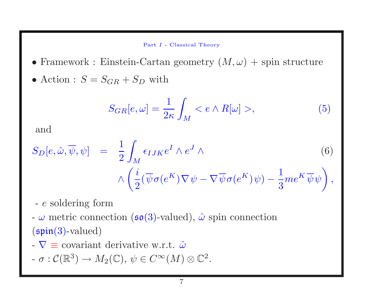#### Part I - Classical Theory

- Framework : Einstein-Cartan geometry  $(M, \omega)$  + spin structure
- Action :  $S = S_{GR} + S_D$  with

$$
S_{GR}[e,\omega] = \frac{1}{2\kappa} \int_M < e \wedge R[\omega] > \tag{5}
$$

and

$$
S_D[e, \hat{\omega}, \overline{\psi}, \psi] = \frac{1}{2} \int_M \epsilon_{IJK} e^I \wedge e^J \wedge \qquad (6)
$$

$$
\wedge \left( \frac{i}{2} (\overline{\psi} \sigma(e^K) \nabla \psi - \nabla \overline{\psi} \sigma(e^K) \psi) - \frac{1}{3} m e^K \overline{\psi} \psi \right),
$$

- <sup>e</sup> soldering form

-  $\omega$  metric connection ( $\mathfrak{so}(3)$ -valued),  $\hat{\omega}$  spin connection  $(\mathfrak{spin}(3)\text{-valued})$ 

-  $\nabla \equiv$  covariant derivative w.r.t.  $\hat{\omega}$ 

$$
- \sigma : \mathcal{C}(\mathbb{R}^3) \to M_2(\mathbb{C}), \, \psi \in C^\infty(M) \otimes \mathbb{C}^2.
$$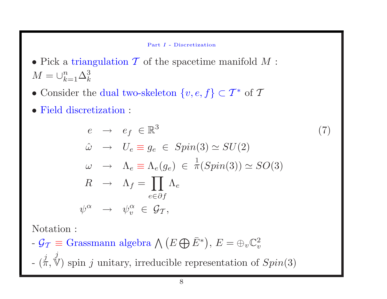Part I - Discretization

- Pick a triangulation  $\mathcal T$  of the spacetime manifold  $M$ :  $M = \bigcup_{k=1}^n \Delta_k^3$
- Consider the dual two-skeleton  $\{v, e, f\} \subset T^*$  of T
- Field discretization :

$$
e \rightarrow e_f \in \mathbb{R}^3
$$
  
\n
$$
\hat{\omega} \rightarrow U_e \equiv g_e \in Spin(3) \simeq SU(2)
$$
  
\n
$$
\omega \rightarrow \Lambda_e \equiv \Lambda_e(g_e) \in \frac{1}{\pi}(Spin(3)) \simeq SO(3)
$$
  
\n
$$
R \rightarrow \Lambda_f = \prod_{e \in \partial f} \Lambda_e
$$
  
\n
$$
\psi^{\alpha} \rightarrow \psi_v^{\alpha} \in \mathcal{G}_T,
$$
  
\n(7)

Notation :

- $\mathcal{G}_{\mathcal{T}} \equiv$  Grassmann algebra  $\bigwedge (E \bigoplus \overline{E}^*)$ ,  $E = \bigoplus_{v} \mathbb{C}_v^2$
- $(\stackrel{j}{\pi}, \stackrel{j}{\nabla})$  spin j unitary, irreducible representation of  $Spin(3)$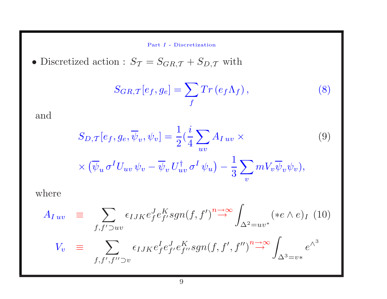Part I - Discretization

 $\bullet$  Discretized action :  $S_{\mathcal{T}}=S_{GR,\mathcal{T}}+S_{D,\mathcal{T}}$  with

$$
S_{GR,T}[e_f, g_e] = \sum_f Tr(e_f \Lambda_f), \qquad (8)
$$

and

$$
S_{D,T}[e_f, g_e, \overline{\psi}_v, \psi_v] = \frac{1}{2} (\frac{i}{4} \sum_{uv} A_{Iuv} \times
$$
  
 
$$
\times (\overline{\psi}_u \sigma^I U_{uv} \psi_v - \overline{\psi}_v U_{uv}^\dagger \sigma^I \psi_u) - \frac{1}{3} \sum_v m V_v \overline{\psi}_v \psi_v),
$$
 (9)

where

$$
A_{Iuv} \equiv \sum_{f, f' \supset uv} \epsilon_{IJK} e_f^J e_f^K sgn(f, f')^n \stackrel{\rightarrow \infty}{\rightarrow} \int_{\Delta^2 = uv^*} (\ast e \wedge e)_I \tag{10}
$$
  

$$
V_v \equiv \sum_{f, f', f'' \supset v} \epsilon_{IJK} e_f^I e_f^J e_f^K sgn(f, f', f'')^n \stackrel{\rightarrow \infty}{\rightarrow} \int_{\Delta^3 = v^*} e^{\wedge^3}
$$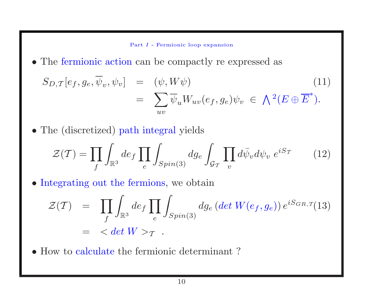Part I - Fermionic loop expansion

• The fermionic action can be compactly re expressed as

$$
S_{D,T}[e_f, g_e, \overline{\psi}_v, \psi_v] = (\psi, W\psi)
$$
  
= 
$$
\sum_{uv} \overline{\psi}_u W_{uv}(e_f, g_e) \psi_v \in \bigwedge^2 (E \oplus \overline{E}^*).
$$
 (11)

• The (discretized) path integral <sup>y</sup>ields

$$
\mathcal{Z}(\mathcal{T}) = \prod_{f} \int_{\mathbb{R}^3} de_f \prod_e \int_{Spin(3)} dg_e \int_{\mathcal{G}_{\mathcal{T}}} \prod_v d\bar{\psi}_v d\psi_v e^{iS_{\mathcal{T}}} \qquad (12)
$$

• Integrating out the fermions, we obtain

$$
\mathcal{Z}(\mathcal{T}) = \prod_{f} \int_{\mathbb{R}^3} de_f \prod_{e} \int_{Spin(3)} dg_e \left(det \ W(e_f, g_e) \right) e^{i S_{GR, \mathcal{T}}}(13)
$$
  
=  $\langle det \ W \rangle_{\mathcal{T}}.$ 

• How to calculate the fermionic determinant ?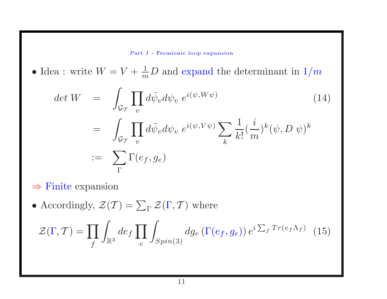Part I - Fermionic loop expansion

• Idea : write  $W = V + \frac{1}{m}D$  and expand the determinant in  $1/m$ 

$$
\begin{aligned}\n\det W &= \int_{\mathcal{G}_{\mathcal{T}}} \prod_{v} d\bar{\psi}_{v} d\psi_{v} \ e^{i(\psi, W\psi)} \\
&= \int_{\mathcal{G}_{\mathcal{T}}} \prod_{v} d\bar{\psi}_{v} d\psi_{v} \ e^{i(\psi, V\psi)} \sum_{k} \frac{1}{k!} (\frac{i}{m})^{k} (\psi, D \ \psi)^{k} \\
&:= \sum_{\Gamma} \Gamma(e_{f}, g_{e})\n\end{aligned} \tag{14}
$$

- $\Rightarrow$  Finite expansion
- Accordingly,  $\mathcal{Z}(\mathcal{T}) = \sum_{\Gamma} \mathcal{Z}(\Gamma, \mathcal{T})$  where

$$
\mathcal{Z}(\Gamma, \mathcal{T}) = \prod_{f} \int_{\mathbb{R}^3} de_f \prod_{e} \int_{Spin(3)} dg_e \left( \Gamma(e_f, g_e) \right) e^{i \sum_f Tr(e_f \Lambda_f)} \tag{15}
$$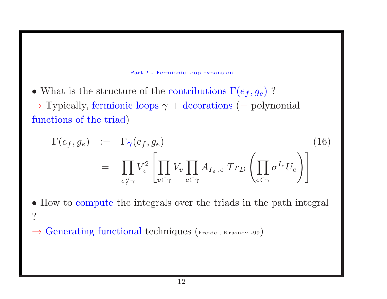

• What is the structure of the contributions  $\Gamma(e_f, g_e)$ ?  $\rightarrow$  Typically, fermionic loops  $\gamma$  + decorations (= polynomial)

functions of the triad)

$$
\Gamma(e_f, g_e) := \Gamma_{\gamma}(e_f, g_e)
$$
\n
$$
= \prod_{v \notin \gamma} V_v^2 \left[ \prod_{v \in \gamma} V_v \prod_{e \in \gamma} A_{I_e, e} \ Tr_D \left( \prod_{e \in \gamma} \sigma^{I_e} U_e \right) \right]
$$
\n(16)

• How to compute the integrals over the triads in the path integral ?

 $\rightarrow$  Generating functional techniques ( $_{\text{Freidel, Krasnov -99}}$ )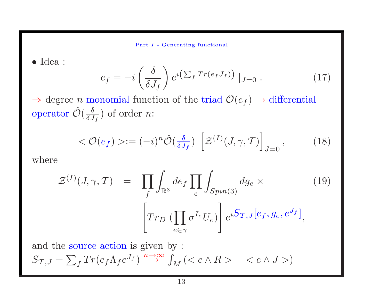Part I - Generating functional

• Idea :

$$
e_f = -i \left(\frac{\delta}{\delta J_f}\right) e^{i \left(\sum_f Tr(e_f J_f)\right)} |_{J=0} . \tag{17}
$$

 $\Rightarrow$  degree *n* monomial function of the triad  $\mathcal{O}(e_f) \rightarrow$  differential operator  $\hat{\mathcal{O}}(\frac{\delta}{\delta J_f})$  of order  $n$ :

$$
\langle \mathcal{O}(e_f) \rangle := (-i)^n \hat{\mathcal{O}}\left(\frac{\delta}{\delta J_f}\right) \left[\mathcal{Z}^{(I)}(J,\gamma,T)\right]_{J=0},\tag{18}
$$

where

$$
\mathcal{Z}^{(I)}(J,\gamma,\mathcal{T}) = \prod_{f} \int_{\mathbb{R}^3} de_f \prod_{e} \int_{Spin(3)} dg_e \times
$$
\n
$$
\left[ Tr_D \left( \prod_{e \in \gamma} \sigma^{I_e} U_e \right) \right] e^{iS_{\mathcal{T},J}[e_f, g_e, e^{J_f}]} ,
$$
\n(19)

and the source action is given by :  $S_{\mathcal{T},J} = \sum_{f} Tr(e_{f} \Lambda_{f} e^{J_{f}}) \stackrel{n \to \infty}{\to} \int_{M} ( + )$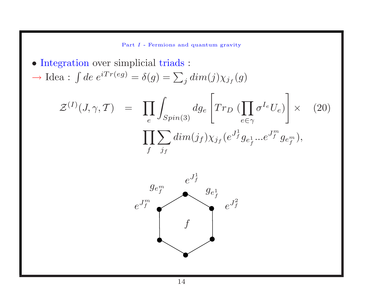Part I - Fermions and quantum gravity

• Integration over simplicial triads :  $\rightarrow$  Idea :  $\int de \, e^{iTr(eg)} = \delta(g) = \sum_i dim(j)\chi_{j_f}(g)$  $\mathcal{Z}^{(I)}(J,\gamma,\mathcal{T}) = \prod_{e} \int_{Spin(3)} dg_e \left[ Tr_D \left( \prod_{e \in \gamma} \sigma^{I_e} U_e \right) \right] \times$  (20)  $\begin{aligned} e^{-JSpin(3)} \quad & \downarrow \quad \quad e{\in}\gamma \quad \quad \ \ \, \ \cdot \quad \quad \ \ \, \prod \sum dim(j_f) \chi_{j_f}(e^{J_f^1}g_{e_f^1}...e^{J_f^m}g_{e_f^m}), \end{aligned}$  $f \quad j_f$  $e^{J^1_f}$  $e^{J_f^m}$   $e^{J_f^2}$  $g_{e^{\scriptscriptstyle m}_f}$  g<sub>e<sup>1</sup></sub>  $\int$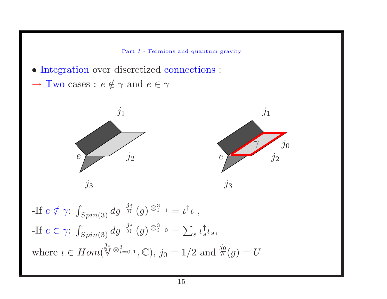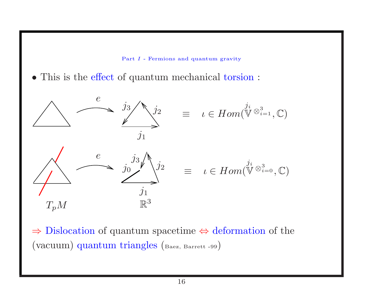

• This is the effect of quantum mechanical torsion :



<sup>⇒</sup> Dislocation of quantum spacetime <sup>⇔</sup> deformation of the (vacuum) quantum triangles (Baez, Barrett -99)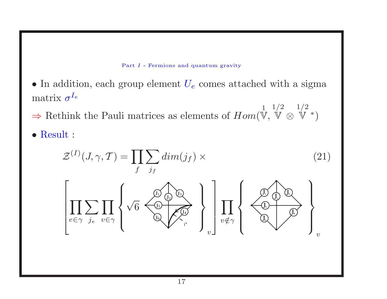

• In addition, each group element  $U_e$  comes attached with a sigma matrix  $\sigma^{I_e}$ 

⇒ Rethink the Pauli matrices as elements of  $Hom$ <sup>1</sup>  $\mathbb{V},$  $1/2\,$ V ⊗  $1/2\,$ V <sup>∗</sup>)

• Result :

$$
\mathcal{Z}^{(I)}(J,\gamma,T) = \prod_{f} \sum_{j_f} dim(j_f) \times
$$
\n
$$
\left[ \prod_{e \in \gamma} \sum_{j_e} \prod_{v \in \gamma} \left\{ \sqrt{6} \sum_{v \in \gamma} \bigotimes_{r} \bigotimes_{v \in \gamma} \left\{ \prod_{v \notin \gamma} \left\{ \bigotimes_{v \notin \gamma} \bigotimes_{v \in \gamma} \bigotimes_{v \in \gamma} \left\{ \bigotimes_{v \in \gamma} \bigotimes_{v \in \gamma} \left\{ \bigotimes_{v \in \gamma} \bigotimes_{v \in \gamma} \left\{ \bigotimes_{v \in \gamma} \bigotimes_{v \in \gamma} \left\{ \bigotimes_{v \in \gamma} \left\{ \bigotimes_{v \in \gamma} \left\{ \bigotimes_{v \in \gamma} \left\{ \bigotimes_{v \in \gamma} \left\{ \bigotimes_{v \in \gamma} \left\{ \bigotimes_{v \in \gamma} \left\{ \bigotimes_{v \in \gamma} \left\{ \bigotimes_{v \in \gamma} \left\{ \bigotimes_{v \in \gamma} \left\{ \bigotimes_{v \in \gamma} \left\{ \bigotimes_{v \in \gamma} \left\{ \bigotimes_{v \in \gamma} \left\{ \bigotimes_{v \in \gamma} \left\{ \bigotimes_{v \in \gamma} \left\{ \bigotimes_{v \in \gamma} \left\{ \bigotimes_{v \in \gamma} \left\{ \bigotimes_{v \in \gamma} \left\{ \bigotimes_{v \in \gamma} \left\{ \bigotimes_{v \in \gamma} \left\{ \bigotimes_{v \in \gamma} \left\{ \bigotimes_{v \in \gamma} \left\{ \bigotimes_{v \in \gamma} \left\{ \bigotimes_{v \in \gamma} \left\{ \bigotimes_{v \in \gamma} \left\{ \bigotimes_{v \in \gamma} \left\{ \bigotimes_{v \in \gamma} \left\{ \bigotimes_{v \in \gamma} \left\{ \bigotimes_{v \in \gamma} \left\{ \bigotimes_{v \in \gamma} \left\{ \bigotimes_{v \in \gamma} \left\{ \bigotimes_{v \in \gamma} \left\{ \bigotimes_{v \in \gamma} \left\{ \bigsetminus_{v \in \gamma} \left\{ \bigotimes_{v \in \gamma} \left\{ \bigtriangle_{v \in \gamma} \left
$$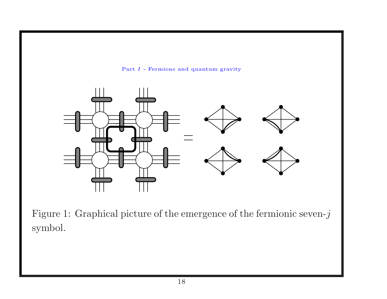

Figure 1: Graphical <sup>p</sup>icture of the emergence of the fermionic seven-j symbol.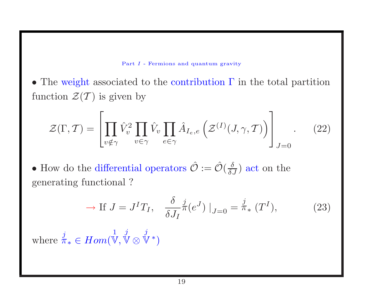#### Part I - Fermions and quantum gravity

 $\bullet$  The weight associated to the contribution  $\Gamma$  in the total partition function  $\mathcal{Z}(\mathcal{T})$  is given by

$$
\mathcal{Z}(\Gamma, \mathcal{T}) = \left[ \prod_{v \notin \gamma} \hat{V}_v^2 \prod_{v \in \gamma} \hat{V}_v \prod_{e \in \gamma} \hat{A}_{I_e, e} \left( \mathcal{Z}^{(I)}(\mathcal{J}, \gamma, \mathcal{T}) \right) \right]_{\mathcal{J} = 0} . \tag{22}
$$

• How do the differential operators  $\hat{\mathcal{O}} := \hat{\mathcal{O}}(\frac{\delta}{\delta J})$  act on the generating functional ?

$$
\rightarrow \text{If } J = J^I T_I, \quad \frac{\delta}{\delta J_I} \pi^j(e^J) \big|_{J=0} = \pi_* \left( T^I \right), \tag{23}
$$

where  $\overline{\pi}_* \in Hom(\overline{\mathbb{V}}, \overline{\mathbb{V}} \otimes \overline{\mathbb{V}}^*)$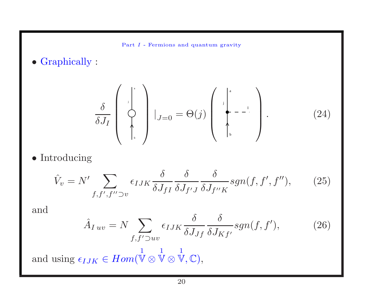- Part I Fermions and quantum gravity
- Graphically :

$$
\frac{\delta}{\delta J_I} \left( \begin{array}{c} | \\ \vdots \\ \vdots \\ \vdots \end{array} \right) |_{J=0} = \Theta(j) \left( \begin{array}{c} | \\ \vdots \\ \vdots \\ \vdots \end{array} \right). \tag{24}
$$

• Introducing

$$
\hat{V}_v = N' \sum_{f, f', f'' \supset v} \epsilon_{IJK} \frac{\delta}{\delta J_{fI}} \frac{\delta}{\delta J_{f'J}} \frac{\delta}{\delta J_{f''K}} sgn(f, f', f''), \qquad (25)
$$

and

$$
\hat{A}_{Iuv} = N \sum_{f, f' \supset uv} \epsilon_{IJK} \frac{\delta}{\delta J_{Jf}} \frac{\delta}{\delta J_{Kf'}} sgn(f, f'), \qquad (26)
$$

and using  $\epsilon_{IJK} \in Hom($ 1  $\mathbb{V} \otimes$ 1  $\mathbb{V} \otimes$ 1  $\mathbb{V}, \mathbb{C}),$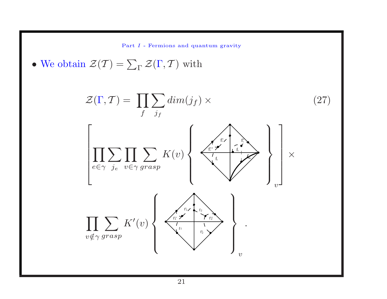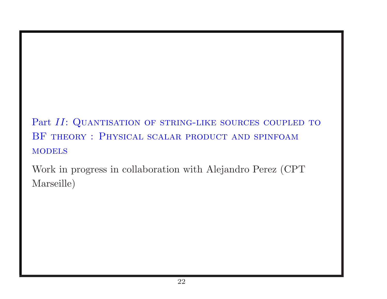Part II: QUANTISATION OF STRING-LIKE SOURCES COUPLED TO BF theory : Physical scalar product and spinfoam **MODELS** 

Work in progress in collaboration with Alejandro Perez (CPT Marseille)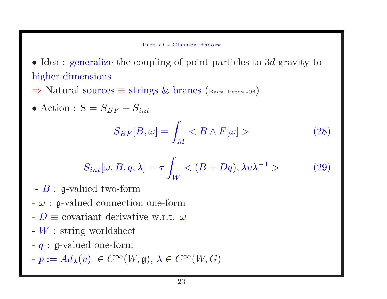#### Part II - Classical theory

• Idea : generalize the coupling of point particles to 3d gravity to higher dimensions

 $\Rightarrow$  Natural sources  $\equiv$  strings & branes (Baez, Perez -06)

• Action : 
$$
S = S_{BF} + S_{int}
$$

$$
S_{BF}[B,\omega] = \int_M < B \wedge F[\omega] > \tag{28}
$$

$$
S_{int}[\omega, B, q, \lambda] = \tau \int_W \langle (B + Dq), \lambda v \lambda^{-1} \rangle \tag{29}
$$

- $-B$ : g-valued two-form
- $-\omega$ : g-valued connection one-form
- $-D \equiv$  covariant derivative w.r.t.  $\omega$
- $-W$ : string worldsheet
- $q$ :  $q$ -valued one-form
- $-p := Ad_{\lambda}(v) \in C^{\infty}(W, \mathfrak{g}), \lambda \in C^{\infty}(W, G)$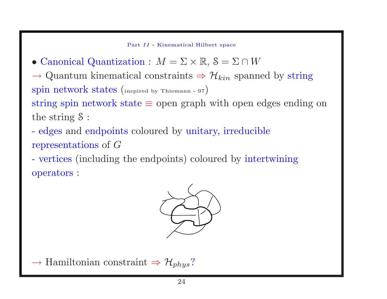Part II - Kinematical Hilbert space

• Canonical Quantization :  $M = \Sigma \times \mathbb{R}, S = \Sigma \cap W$ 

 $\rightarrow$  Quantum kinematical constraints  $\Rightarrow$   $\mathcal{H}_{kin}$  spanned by string spin network states (inspired by Thiemann - <sup>97</sup>) string spin network state <sup>≡</sup> open graph with open edges ending on the string S :

- edges and endpoints coloured by unitary, irreducible representations of G

- vertices (including the endpoints) coloured by intertwining operators :



 $\rightarrow$  Hamiltonian constraint  $\Rightarrow$   $\mathcal{H}_{phys}$ ?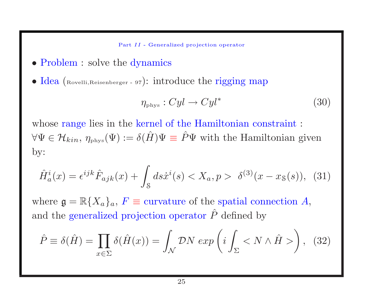- Problem : solve the dynamics
- Idea (Rovelli, Reisenberger 97): introduce the rigging map

$$
\eta_{\rm phys}: Cyl \to Cyl^* \tag{30}
$$

whose range lies in the kernel of the Hamiltonian constraint :  $\forall \Psi \in \mathcal{H}_{kin}, \eta_{\text{phys}}(\Psi) := \delta(\hat{H})\Psi \equiv \hat{P}\Psi$  with the Hamiltonian given by:

$$
\hat{H}_a^i(x) = \epsilon^{ijk} \hat{F}_{ajk}(x) + \int_{\mathcal{S}} ds \dot{x}^i(s) < X_a, p > \delta^{(3)}(x - x_{\mathcal{S}}(s)), \tag{31}
$$

where  $\mathfrak{g} = \mathbb{R}\{X_a\}_a$ ,  $F \equiv$  curvature of the spatial connection A, and the generalized projection operator  $\hat{P}$  defined by

$$
\hat{P} \equiv \delta(\hat{H}) = \prod_{x \in \Sigma} \delta(\hat{H}(x)) = \int_{\mathcal{N}} \mathcal{D}N \exp\left(i \int_{\Sigma} \langle N \wedge \hat{H} \rangle\right), \tag{32}
$$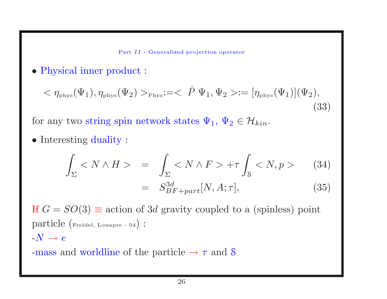• Physical inner product :

$$
\langle \eta_{\text{phys}}(\Psi_1), \eta_{\text{phys}}(\Psi_2) \rangle_{\text{Phys}} := \langle \hat{P} \Psi_1, \Psi_2 \rangle := [\eta_{\text{phys}}(\Psi_1)](\Psi_2),
$$
\n(33)

for any two string spin network states  $\Psi_1, \Psi_2 \in \mathcal{H}_{kin}$ .

• Interesting duality :

$$
\int_{\Sigma} \langle N \wedge H \rangle = \int_{\Sigma} \langle N \wedge F \rangle + \tau \int_{\mathcal{S}} \langle N, p \rangle \qquad (34)
$$

$$
= S_{BF+part}^{3d}[N, A; \tau], \qquad (35)
$$

If  $G = SO(3) \equiv$  action of 3d gravity coupled to a (spinless) point particle (Freidel, Louapre - <sup>04</sup>) :  $-N \rightarrow e$ 

-mass and worldline of the particle  $\rightarrow \tau$  and  $\mathcal S$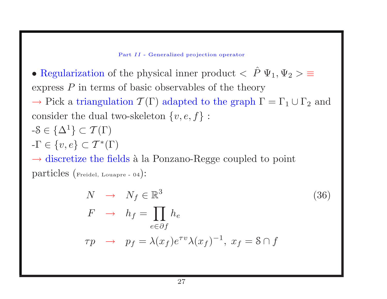• Regularization of the physical inner product  $\langle P \Psi_1, \Psi_2 \rangle \equiv$ express  $P$  in terms of basic observables of the theory

 $\rightarrow$  Pick a triangulation  $\mathcal{T}(\Gamma)$  adapted to the graph  $\Gamma = \Gamma_1 \cup \Gamma_2$  and consider the dual two-skeleton  $\{v, e, f\}$ :

$$
-S \in \{\Delta^1\} \subset \mathcal{T}(\Gamma)
$$

$$
-\Gamma \in \{v, e\} \subset \mathcal{T}^*(\Gamma)
$$

 $\rightarrow$  discretize the fields à la Ponzano-Regge coupled to point particles (Freidel, Louapre - <sup>04</sup>):

$$
N \rightarrow N_f \in \mathbb{R}^3
$$
  
\n
$$
F \rightarrow h_f = \prod_{e \in \partial f} h_e
$$
  
\n
$$
\tau p \rightarrow p_f = \lambda(x_f) e^{\tau v} \lambda(x_f)^{-1}, x_f = \mathcal{S} \cap f
$$
\n(36)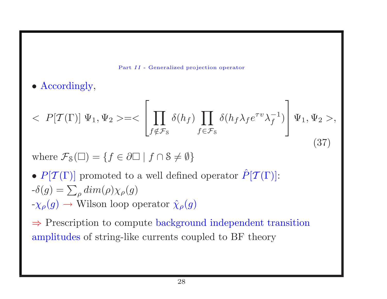

• Accordingly,

$$
\langle P[T(\Gamma)] \Psi_1, \Psi_2 \rangle = \langle \left[ \prod_{f \notin \mathcal{F}_S} \delta(h_f) \prod_{f \in \mathcal{F}_S} \delta(h_f \lambda_f e^{\tau v} \lambda_f^{-1}) \right] \Psi_1, \Psi_2 \rangle, \tag{37}
$$

where  $\mathcal{F}_{S}(\Box) = \{f \in \partial \Box \mid f \cap S \neq \emptyset\}$ 

•  $P[T(\Gamma)]$  promoted to a well defined operator  $\hat{P}[T(\Gamma)]$ :  $-\delta(g) = \sum_{\rho} dim(\rho) \chi_{\rho}(g)$  $-\chi_{\rho}(g) \rightarrow$  Wilson loop operator  $\hat{\chi}_{\rho}(g)$ 

<sup>⇒</sup> Prescription to compute background independent transition amplitudes of string-like currents coupled to BF theory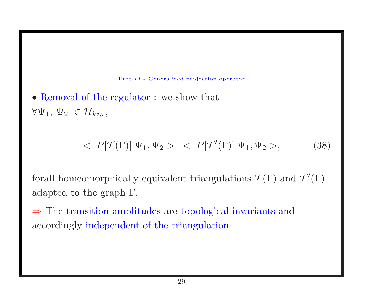• Removal of the regulator : we show that  $\forall \Psi_1, \Psi_2 \in \mathcal{H}_{kin},$ 

$$
\langle P[T(\Gamma)] \Psi_1, \Psi_2 \rangle = \langle P[T'(\Gamma)] \Psi_1, \Psi_2 \rangle, \tag{38}
$$

forall homeomorphically equivalent triangulations  $\mathcal{T}(\Gamma)$  and  $\mathcal{T}'(\Gamma)$ adapted to the graph Γ.

<sup>⇒</sup> The transition amplitudes are topological invariants and accordingly independent of the triangulation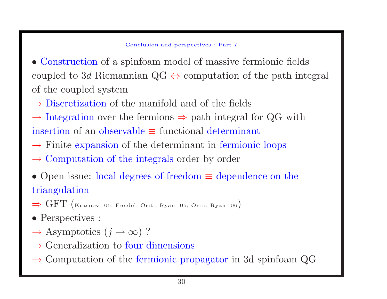#### Conclusion and perspectives : Part I

• Construction of <sup>a</sup> spinfoam model of massive fermionic fields coupled to 3d Riemannian QG  $\Leftrightarrow$  computation of the path integral of the coupled system

 $\rightarrow$  Discretization of the manifold and of the fields

 $\rightarrow$  Integration over the fermions  $\Rightarrow$  path integral for QG with insertion of an observable  $\equiv$  functional determinant

- $\rightarrow$  Finite expansion of the determinant in fermionic loops
- $\rightarrow$  Computation of the integrals order by order
- Open issue: local degrees of freedom  $\equiv$  dependence on the triangulation
- $\Rightarrow$  GFT (Krasnov -05; Freidel, Oriti, Ryan -05; Oriti, Ryan -06)
- Perspectives :
- $\rightarrow$  Asymptotics  $(j \rightarrow \infty)$  ?
- $\rightarrow$  Generalization to four dimensions
- $\rightarrow$  Computation of the fermionic propagator in 3d spinfoam QG